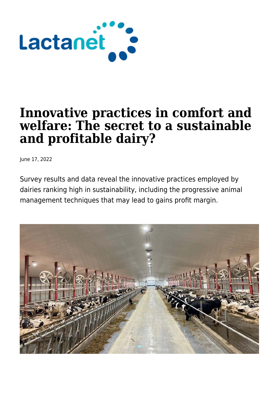

# **Innovative practices in comfort and welfare: The secret to a sustainable and profitable dairy?**

June 17, 2022

Survey results and data reveal the innovative practices employed by dairies ranking high in sustainability, including the progressive animal management techniques that may lead to gains profit margin.

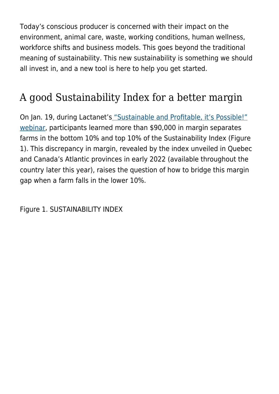Today's conscious producer is concerned with their impact on the environment, animal care, waste, working conditions, human wellness, workforce shifts and business models. This goes beyond the traditional meaning of sustainability. This new sustainability is something we should all invest in, and a new tool is here to help you get started.

# A good Sustainability Index for a better margin

On Jan. 19, during Lactanet'[s "Sustainable and Profitable, it's Possible!"](https://lactanet.ca/en/evenements/sustainable-and-profitable-its-possible/) [webinar,](https://lactanet.ca/en/evenements/sustainable-and-profitable-its-possible/) participants learned more than \$90,000 in margin separates farms in the bottom 10% and top 10% of the Sustainability Index (Figure 1). This discrepancy in margin, revealed by the index unveiled in Quebec and Canada's Atlantic provinces in early 2022 (available throughout the country later this year), raises the question of how to bridge this margin gap when a farm falls in the lower 10%.

Figure 1. SUSTAINABILITY INDEX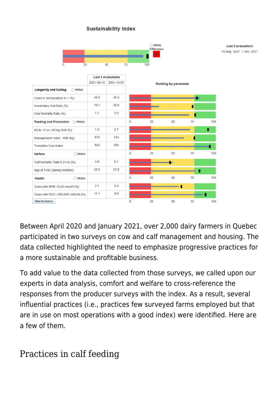#### **Sustainability Index**



Between April 2020 and January 2021, over 2,000 dairy farmers in Quebec participated in two surveys on cow and calf management and housing. The data collected highlighted the need to emphasize progressive practices for a more sustainable and profitable business.

To add value to the data collected from those surveys, we called upon our experts in data analysis, comfort and welfare to cross-reference the responses from the producer surveys with the index. As a result, several influential practices (i.e., practices few surveyed farms employed but that are in use on most operations with a good index) were identified. Here are a few of them.

### Practices in calf feeding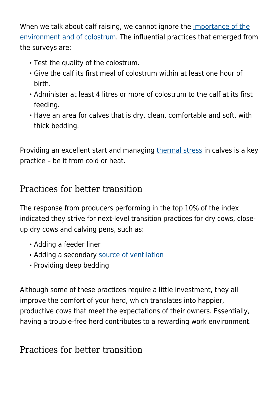When we talk about calf raising, we cannot ignore the [importance of the](https://lactanet.ca/en/quick-reference-card-for-calves/) [environment and of colostrum](https://lactanet.ca/en/quick-reference-card-for-calves/). The influential practices that emerged from the surveys are:

- Test the quality of the colostrum.
- Give the calf its first meal of colostrum within at least one hour of birth.
- Administer at least 4 litres or more of colostrum to the calf at its first feeding.
- Have an area for calves that is dry, clean, comfortable and soft, with thick bedding.

Providing an excellent start and managing [thermal stress](https://lactanet.ca/en/thematique/thermal-stress/) in calves is a key practice – be it from cold or heat.

### Practices for better transition

The response from producers performing in the top 10% of the index indicated they strive for next-level transition practices for dry cows, closeup dry cows and calving pens, such as:

- Adding a feeder liner
- Adding a secondary [source of ventilation](https://lactanet.ca/en/is-your-ventilation-system-up-to-the-challenge-of-keeping-your-cows-cool/)
- Providing deep bedding

Although some of these practices require a little investment, they all improve the comfort of your herd, which translates into happier, productive cows that meet the expectations of their owners. Essentially, having a trouble-free herd contributes to a rewarding work environment.

## Practices for better transition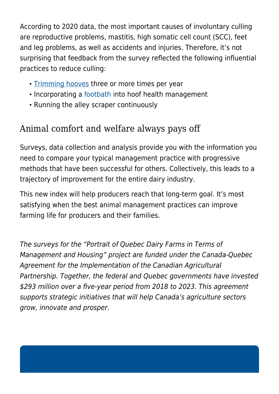According to 2020 data, the most important causes of involuntary culling are reproductive problems, mastitis, high somatic cell count (SCC), feet and leg problems, as well as accidents and injuries. Therefore, it's not surprising that feedback from the survey reflected the following influential practices to reduce culling:

- [Trimming hooves](https://www.youtube.com/watch?v=Oau90xtgp34) three or more times per year
- Incorporating a [footbath](https://lactanet.ca/en/abcs-of-footbathing/) into hoof health management
- Running the alley scraper continuously

# Animal comfort and welfare always pays off

Surveys, data collection and analysis provide you with the information you need to compare your typical management practice with progressive methods that have been successful for others. Collectively, this leads to a trajectory of improvement for the entire dairy industry.

This new index will help producers reach that long-term goal. It's most satisfying when the best animal management practices can improve farming life for producers and their families.

The surveys for the "Portrait of Quebec Dairy Farms in Terms of Management and Housing" project are funded under the Canada-Quebec Agreement for the Implementation of the Canadian Agricultural Partnership. Together, the federal and Quebec governments have invested \$293 million over a five-year period from 2018 to 2023. This agreement supports strategic initiatives that will help Canada's agriculture sectors grow, innovate and prosper.